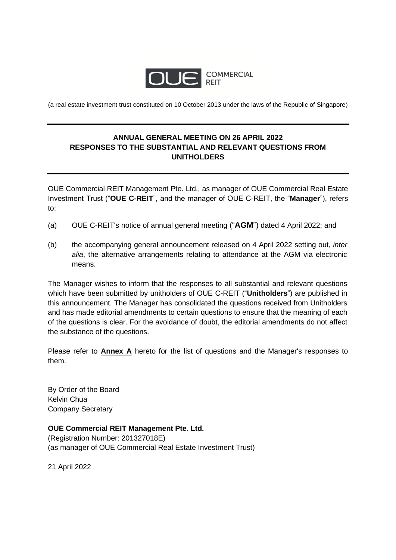

(a real estate investment trust constituted on 10 October 2013 under the laws of the Republic of Singapore)

## **ANNUAL GENERAL MEETING ON 26 APRIL 2022 RESPONSES TO THE SUBSTANTIAL AND RELEVANT QUESTIONS FROM UNITHOLDERS**

OUE Commercial REIT Management Pte. Ltd., as manager of OUE Commercial Real Estate Investment Trust ("**OUE C-REIT**", and the manager of OUE C-REIT, the "**Manager**"), refers to:

- (a) OUE C-REIT's notice of annual general meeting ("**AGM**") dated 4 April 2022; and
- (b) the accompanying general announcement released on 4 April 2022 setting out, *inter alia*, the alternative arrangements relating to attendance at the AGM via electronic means.

The Manager wishes to inform that the responses to all substantial and relevant questions which have been submitted by unitholders of OUE C-REIT ("**Unitholders**") are published in this announcement. The Manager has consolidated the questions received from Unitholders and has made editorial amendments to certain questions to ensure that the meaning of each of the questions is clear. For the avoidance of doubt, the editorial amendments do not affect the substance of the questions.

Please refer to **Annex A** hereto for the list of questions and the Manager's responses to them.

By Order of the Board Kelvin Chua Company Secretary

## **OUE Commercial REIT Management Pte. Ltd.**

(Registration Number: 201327018E) (as manager of OUE Commercial Real Estate Investment Trust)

21 April 2022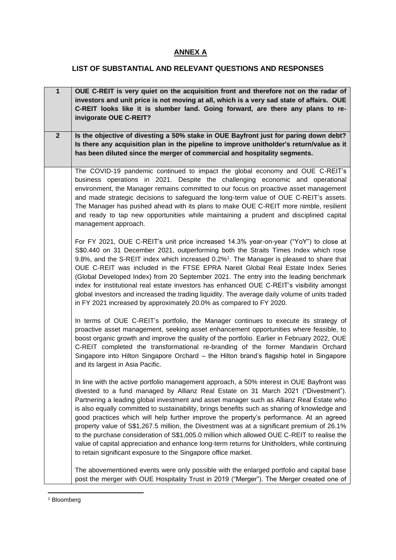## **ANNEX A**

## **LIST OF SUBSTANTIAL AND RELEVANT QUESTIONS AND RESPONSES**

| $\overline{1}$ | OUE C-REIT is very quiet on the acquisition front and therefore not on the radar of<br>investors and unit price is not moving at all, which is a very sad state of affairs. OUE<br>C-REIT looks like it is slumber land. Going forward, are there any plans to re-<br>invigorate OUE C-REIT?                                                                                                                                                                                                                                                                                                                                                                                                                                                                                                                                            |
|----------------|-----------------------------------------------------------------------------------------------------------------------------------------------------------------------------------------------------------------------------------------------------------------------------------------------------------------------------------------------------------------------------------------------------------------------------------------------------------------------------------------------------------------------------------------------------------------------------------------------------------------------------------------------------------------------------------------------------------------------------------------------------------------------------------------------------------------------------------------|
| $\overline{2}$ | Is the objective of divesting a 50% stake in OUE Bayfront just for paring down debt?<br>Is there any acquisition plan in the pipeline to improve unitholder's return/value as it<br>has been diluted since the merger of commercial and hospitality segments.                                                                                                                                                                                                                                                                                                                                                                                                                                                                                                                                                                           |
|                | The COVID-19 pandemic continued to impact the global economy and OUE C-REIT's<br>business operations in 2021. Despite the challenging economic and operational<br>environment, the Manager remains committed to our focus on proactive asset management<br>and made strategic decisions to safeguard the long-term value of OUE C-REIT's assets.<br>The Manager has pushed ahead with its plans to make OUE C-REIT more nimble, resilient<br>and ready to tap new opportunities while maintaining a prudent and disciplined capital<br>management approach.                                                                                                                                                                                                                                                                             |
|                | For FY 2021, OUE C-REIT's unit price increased 14.3% year-on-year ("YoY") to close at<br>S\$0.440 on 31 December 2021, outperforming both the Straits Times Index which rose<br>9.8%, and the S-REIT index which increased 0.2% <sup>1</sup> . The Manager is pleased to share that<br>OUE C-REIT was included in the FTSE EPRA Nareit Global Real Estate Index Series<br>(Global Developed Index) from 20 September 2021. The entry into the leading benchmark<br>index for institutional real estate investors has enhanced OUE C-REIT's visibility amongst<br>global investors and increased the trading liquidity. The average daily volume of units traded<br>in FY 2021 increased by approximately 20.0% as compared to FY 2020.                                                                                                  |
|                | In terms of OUE C-REIT's portfolio, the Manager continues to execute its strategy of<br>proactive asset management, seeking asset enhancement opportunities where feasible, to<br>boost organic growth and improve the quality of the portfolio. Earlier in February 2022, OUE<br>C-REIT completed the transformational re-branding of the former Mandarin Orchard<br>Singapore into Hilton Singapore Orchard – the Hilton brand's flagship hotel in Singapore<br>and its largest in Asia Pacific.                                                                                                                                                                                                                                                                                                                                      |
|                | In line with the active portfolio management approach, a 50% interest in OUE Bayfront was<br>divested to a fund managed by Allianz Real Estate on 31 March 2021 ("Divestment").<br>Partnering a leading global investment and asset manager such as Allianz Real Estate who<br>is also equally committed to sustainability, brings benefits such as sharing of knowledge and<br>good practices which will help further improve the property's performance. At an agreed<br>property value of S\$1,267.5 million, the Divestment was at a significant premium of 26.1%<br>to the purchase consideration of S\$1,005.0 million which allowed OUE C-REIT to realise the<br>value of capital appreciation and enhance long-term returns for Unitholders, while continuing<br>to retain significant exposure to the Singapore office market. |
|                | The abovementioned events were only possible with the enlarged portfolio and capital base<br>post the merger with OUE Hospitality Trust in 2019 ("Merger"). The Merger created one of                                                                                                                                                                                                                                                                                                                                                                                                                                                                                                                                                                                                                                                   |

<sup>&</sup>lt;sup>1</sup> Bloomberg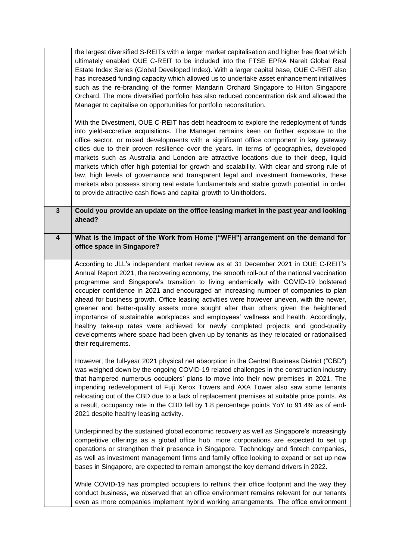|                         | the largest diversified S-REITs with a larger market capitalisation and higher free float which<br>ultimately enabled OUE C-REIT to be included into the FTSE EPRA Nareit Global Real<br>Estate Index Series (Global Developed Index). With a larger capital base, OUE C-REIT also<br>has increased funding capacity which allowed us to undertake asset enhancement initiatives<br>such as the re-branding of the former Mandarin Orchard Singapore to Hilton Singapore<br>Orchard. The more diversified portfolio has also reduced concentration risk and allowed the<br>Manager to capitalise on opportunities for portfolio reconstitution.                                                                                                                                                                                                       |
|-------------------------|-------------------------------------------------------------------------------------------------------------------------------------------------------------------------------------------------------------------------------------------------------------------------------------------------------------------------------------------------------------------------------------------------------------------------------------------------------------------------------------------------------------------------------------------------------------------------------------------------------------------------------------------------------------------------------------------------------------------------------------------------------------------------------------------------------------------------------------------------------|
|                         | With the Divestment, OUE C-REIT has debt headroom to explore the redeployment of funds<br>into yield-accretive acquisitions. The Manager remains keen on further exposure to the<br>office sector, or mixed developments with a significant office component in key gateway<br>cities due to their proven resilience over the years. In terms of geographies, developed<br>markets such as Australia and London are attractive locations due to their deep, liquid<br>markets which offer high potential for growth and scalability. With clear and strong rule of<br>law, high levels of governance and transparent legal and investment frameworks, these<br>markets also possess strong real estate fundamentals and stable growth potential, in order<br>to provide attractive cash flows and capital growth to Unitholders.                      |
| $\mathbf{3}$            | Could you provide an update on the office leasing market in the past year and looking<br>ahead?                                                                                                                                                                                                                                                                                                                                                                                                                                                                                                                                                                                                                                                                                                                                                       |
| $\overline{\mathbf{4}}$ | What is the impact of the Work from Home ("WFH") arrangement on the demand for<br>office space in Singapore?                                                                                                                                                                                                                                                                                                                                                                                                                                                                                                                                                                                                                                                                                                                                          |
|                         | According to JLL's independent market review as at 31 December 2021 in OUE C-REIT's<br>Annual Report 2021, the recovering economy, the smooth roll-out of the national vaccination<br>programme and Singapore's transition to living endemically with COVID-19 bolstered<br>occupier confidence in 2021 and encouraged an increasing number of companies to plan<br>ahead for business growth. Office leasing activities were however uneven, with the newer,<br>greener and better-quality assets more sought after than others given the heightened<br>importance of sustainable workplaces and employees' wellness and health. Accordingly,<br>healthy take-up rates were achieved for newly completed projects and good-quality<br>developments where space had been given up by tenants as they relocated or rationalised<br>their requirements. |
|                         | However, the full-year 2021 physical net absorption in the Central Business District ("CBD")<br>was weighed down by the ongoing COVID-19 related challenges in the construction industry<br>that hampered numerous occupiers' plans to move into their new premises in 2021. The<br>impending redevelopment of Fuji Xerox Towers and AXA Tower also saw some tenants<br>relocating out of the CBD due to a lack of replacement premises at suitable price points. As<br>a result, occupancy rate in the CBD fell by 1.8 percentage points YoY to 91.4% as of end-<br>2021 despite healthy leasing activity.                                                                                                                                                                                                                                           |
|                         | Underpinned by the sustained global economic recovery as well as Singapore's increasingly<br>competitive offerings as a global office hub, more corporations are expected to set up<br>operations or strengthen their presence in Singapore. Technology and fintech companies,<br>as well as investment management firms and family office looking to expand or set up new<br>bases in Singapore, are expected to remain amongst the key demand drivers in 2022.                                                                                                                                                                                                                                                                                                                                                                                      |
|                         | While COVID-19 has prompted occupiers to rethink their office footprint and the way they<br>conduct business, we observed that an office environment remains relevant for our tenants<br>even as more companies implement hybrid working arrangements. The office environment                                                                                                                                                                                                                                                                                                                                                                                                                                                                                                                                                                         |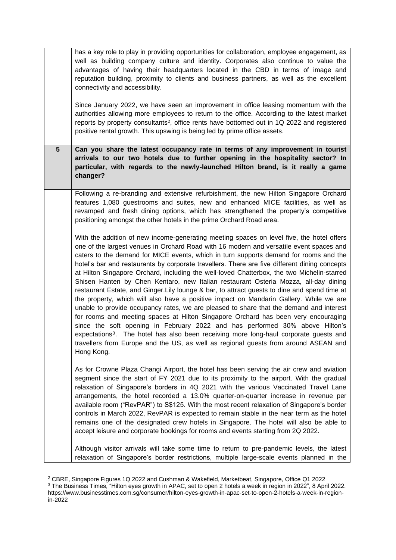|   | has a key role to play in providing opportunities for collaboration, employee engagement, as<br>well as building company culture and identity. Corporates also continue to value the<br>advantages of having their headquarters located in the CBD in terms of image and<br>reputation building, proximity to clients and business partners, as well as the excellent<br>connectivity and accessibility.<br>Since January 2022, we have seen an improvement in office leasing momentum with the<br>authorities allowing more employees to return to the office. According to the latest market<br>reports by property consultants <sup>2</sup> , office rents have bottomed out in 1Q 2022 and registered<br>positive rental growth. This upswing is being led by prime office assets.                                                                                                                                                                                                                                                                                                                                                                                                                                                    |
|---|-------------------------------------------------------------------------------------------------------------------------------------------------------------------------------------------------------------------------------------------------------------------------------------------------------------------------------------------------------------------------------------------------------------------------------------------------------------------------------------------------------------------------------------------------------------------------------------------------------------------------------------------------------------------------------------------------------------------------------------------------------------------------------------------------------------------------------------------------------------------------------------------------------------------------------------------------------------------------------------------------------------------------------------------------------------------------------------------------------------------------------------------------------------------------------------------------------------------------------------------|
| 5 | Can you share the latest occupancy rate in terms of any improvement in tourist<br>arrivals to our two hotels due to further opening in the hospitality sector? In<br>particular, with regards to the newly-launched Hilton brand, is it really a game<br>changer?                                                                                                                                                                                                                                                                                                                                                                                                                                                                                                                                                                                                                                                                                                                                                                                                                                                                                                                                                                         |
|   | Following a re-branding and extensive refurbishment, the new Hilton Singapore Orchard<br>features 1,080 guestrooms and suites, new and enhanced MICE facilities, as well as<br>revamped and fresh dining options, which has strengthened the property's competitive<br>positioning amongst the other hotels in the prime Orchard Road area.                                                                                                                                                                                                                                                                                                                                                                                                                                                                                                                                                                                                                                                                                                                                                                                                                                                                                               |
|   | With the addition of new income-generating meeting spaces on level five, the hotel offers<br>one of the largest venues in Orchard Road with 16 modern and versatile event spaces and<br>caters to the demand for MICE events, which in turn supports demand for rooms and the<br>hotel's bar and restaurants by corporate travellers. There are five different dining concepts<br>at Hilton Singapore Orchard, including the well-loved Chatterbox, the two Michelin-starred<br>Shisen Hanten by Chen Kentaro, new Italian restaurant Osteria Mozza, all-day dining<br>restaurant Estate, and Ginger. Lily lounge & bar, to attract guests to dine and spend time at<br>the property, which will also have a positive impact on Mandarin Gallery. While we are<br>unable to provide occupancy rates, we are pleased to share that the demand and interest<br>for rooms and meeting spaces at Hilton Singapore Orchard has been very encouraging<br>since the soft opening in February 2022 and has performed 30% above Hilton's<br>expectations <sup>3</sup> . The hotel has also been receiving more long-haul corporate guests and<br>travellers from Europe and the US, as well as regional guests from around ASEAN and<br>Hong Kong. |
|   | As for Crowne Plaza Changi Airport, the hotel has been serving the air crew and aviation<br>segment since the start of FY 2021 due to its proximity to the airport. With the gradual<br>relaxation of Singapore's borders in 4Q 2021 with the various Vaccinated Travel Lane<br>arrangements, the hotel recorded a 13.0% quarter-on-quarter increase in revenue per<br>available room ("RevPAR") to S\$125. With the most recent relaxation of Singapore's border<br>controls in March 2022, RevPAR is expected to remain stable in the near term as the hotel<br>remains one of the designated crew hotels in Singapore. The hotel will also be able to<br>accept leisure and corporate bookings for rooms and events starting from 2Q 2022.                                                                                                                                                                                                                                                                                                                                                                                                                                                                                             |
|   | Although visitor arrivals will take some time to return to pre-pandemic levels, the latest<br>relaxation of Singapore's border restrictions, multiple large-scale events planned in the                                                                                                                                                                                                                                                                                                                                                                                                                                                                                                                                                                                                                                                                                                                                                                                                                                                                                                                                                                                                                                                   |

<sup>2</sup> CBRE, Singapore Figures 1Q 2022 and Cushman & Wakefield, Marketbeat, Singapore, Office Q1 2022

<sup>&</sup>lt;sup>3</sup> The Business Times, "Hilton eyes growth in APAC, set to open 2 hotels a week in region in 2022", 8 April 2022. https://www.businesstimes.com.sg/consumer/hilton-eyes-growth-in-apac-set-to-open-2-hotels-a-week-in-regionin-2022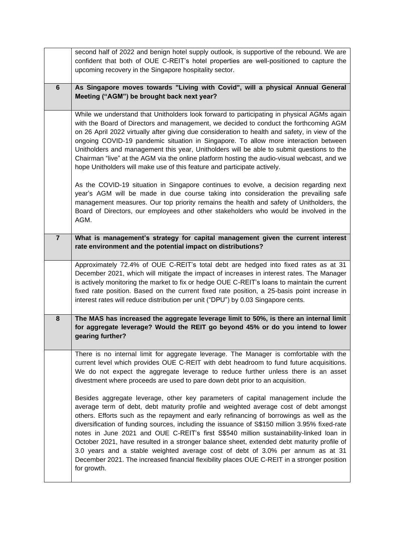|                | second half of 2022 and benign hotel supply outlook, is supportive of the rebound. We are<br>confident that both of OUE C-REIT's hotel properties are well-positioned to capture the<br>upcoming recovery in the Singapore hospitality sector.                                                                                                                                                                                                                                                                                                                                                                                                                                                                                                                    |
|----------------|-------------------------------------------------------------------------------------------------------------------------------------------------------------------------------------------------------------------------------------------------------------------------------------------------------------------------------------------------------------------------------------------------------------------------------------------------------------------------------------------------------------------------------------------------------------------------------------------------------------------------------------------------------------------------------------------------------------------------------------------------------------------|
| $6\phantom{1}$ | As Singapore moves towards "Living with Covid", will a physical Annual General<br>Meeting ("AGM") be brought back next year?                                                                                                                                                                                                                                                                                                                                                                                                                                                                                                                                                                                                                                      |
|                | While we understand that Unitholders look forward to participating in physical AGMs again<br>with the Board of Directors and management, we decided to conduct the forthcoming AGM<br>on 26 April 2022 virtually after giving due consideration to health and safety, in view of the<br>ongoing COVID-19 pandemic situation in Singapore. To allow more interaction between<br>Unitholders and management this year, Unitholders will be able to submit questions to the<br>Chairman "live" at the AGM via the online platform hosting the audio-visual webcast, and we<br>hope Unitholders will make use of this feature and participate actively.                                                                                                               |
|                | As the COVID-19 situation in Singapore continues to evolve, a decision regarding next<br>year's AGM will be made in due course taking into consideration the prevailing safe<br>management measures. Our top priority remains the health and safety of Unitholders, the<br>Board of Directors, our employees and other stakeholders who would be involved in the<br>AGM.                                                                                                                                                                                                                                                                                                                                                                                          |
| $\overline{7}$ | What is management's strategy for capital management given the current interest<br>rate environment and the potential impact on distributions?                                                                                                                                                                                                                                                                                                                                                                                                                                                                                                                                                                                                                    |
|                | Approximately 72.4% of OUE C-REIT's total debt are hedged into fixed rates as at 31<br>December 2021, which will mitigate the impact of increases in interest rates. The Manager<br>is actively monitoring the market to fix or hedge OUE C-REIT's loans to maintain the current<br>fixed rate position. Based on the current fixed rate position, a 25-basis point increase in<br>interest rates will reduce distribution per unit ("DPU") by 0.03 Singapore cents.                                                                                                                                                                                                                                                                                              |
| $\bf{8}$       | The MAS has increased the aggregate leverage limit to 50%, is there an internal limit<br>for aggregate leverage? Would the REIT go beyond 45% or do you intend to lower<br>gearing further?                                                                                                                                                                                                                                                                                                                                                                                                                                                                                                                                                                       |
|                | There is no internal limit for aggregate leverage. The Manager is comfortable with the<br>current level which provides OUE C-REIT with debt headroom to fund future acquisitions.<br>We do not expect the aggregate leverage to reduce further unless there is an asset<br>divestment where proceeds are used to pare down debt prior to an acquisition.                                                                                                                                                                                                                                                                                                                                                                                                          |
|                | Besides aggregate leverage, other key parameters of capital management include the<br>average term of debt, debt maturity profile and weighted average cost of debt amongst<br>others. Efforts such as the repayment and early refinancing of borrowings as well as the<br>diversification of funding sources, including the issuance of S\$150 million 3.95% fixed-rate<br>notes in June 2021 and OUE C-REIT's first S\$540 million sustainability-linked loan in<br>October 2021, have resulted in a stronger balance sheet, extended debt maturity profile of<br>3.0 years and a stable weighted average cost of debt of 3.0% per annum as at 31<br>December 2021. The increased financial flexibility places OUE C-REIT in a stronger position<br>for growth. |